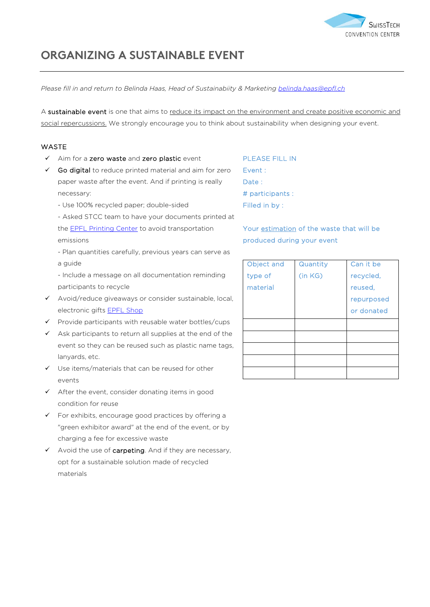

# **ORGANIZING A SUSTAINABLE EVENT**

*Please fill in and return to Belinda Haas, Head of Sustainabiity & Marketing [belinda.haas@epfl.ch](mailto:belinda.haas@epfl.ch)*

A sustainable event is one that aims to reduce its impact on the environment and create positive economic and social repercussions. We strongly encourage you to think about sustainability when designing your event.

#### **WASTE**

- $\checkmark$  Aim for a zero waste and zero plastic event
- $\checkmark$  Go digital to reduce printed material and aim for zero paper waste after the event. And if printing is really necessary:
	- Use 100% recycled paper; double-sided
	- Asked STCC team to have your documents printed at the [EPFL Printing Center](https://www.epfl.ch/campus/services/repro/) to avoid transportation emissions
	- Plan quantities carefully, previous years can serve as a guide
	- Include a message on all documentation reminding participants to recycle
- Avoid/reduce giveaways or consider sustainable, local, electronic gifts **[EPFL Shop](https://shop.epfl.ch/)**
- $\checkmark$  Provide participants with reusable water bottles/cups
- $\checkmark$  Ask participants to return all supplies at the end of the event so they can be reused such as plastic name tags, lanyards, etc.
- $\checkmark$  Use items/materials that can be reused for other events
- $\checkmark$  After the event, consider donating items in good condition for reuse
- For exhibits, encourage good practices by offering a "green exhibitor award" at the end of the event, or by charging a fee for excessive waste
- $\checkmark$  Avoid the use of carpeting. And if they are necessary, opt for a sustainable solution made of recycled materials

PLEASE FILL IN Event : Date: # participants : Filled in by :

Your estimation of the waste that will be produced during your event

| Object and | Quantity | Can it be  |
|------------|----------|------------|
| type of    | (in KG)  | recycled,  |
| material   |          | reused,    |
|            |          | repurposed |
|            |          | or donated |
|            |          |            |
|            |          |            |
|            |          |            |
|            |          |            |
|            |          |            |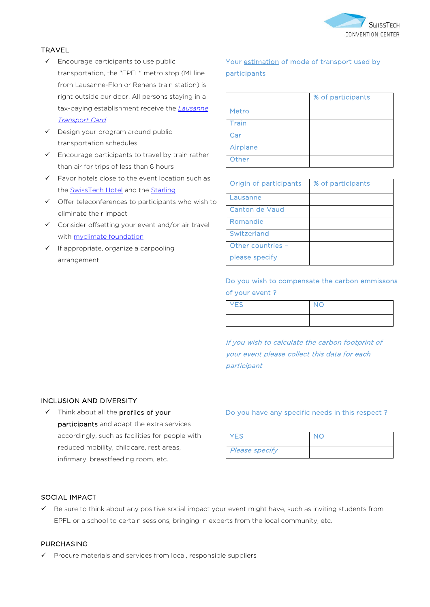

### TRAVEL

- $\checkmark$  Encourage participants to use public transportation, the "EPFL" metro stop (M1 line from Lausanne-Flon or Renens train station) is right outside our door. All persons staying in a tax-paying establishment receive the *[Lausanne](https://www.lausanne-tourisme.ch/en/lausanne-transport-card-and-more/)  [Transport Card](https://www.lausanne-tourisme.ch/en/lausanne-transport-card-and-more/)*
- $\checkmark$  Design your program around public transportation schedules
- $\checkmark$  Encourage participants to travel by train rather than air for trips of less than 6 hours
- $\checkmark$  Favor hotels close to the event location such as the [SwissTech Hotel](https://www.swisstech-hotel.com/en/home) and the [Starling](https://starling-hotel-lausanne.com/)
- $\checkmark$  Offer teleconferences to participants who wish to eliminate their impact
- $\checkmark$  Consider offsetting your event and/or air travel with [myclimate](https://www.myclimate.org/) foundation
- $\checkmark$  If appropriate, organize a carpooling arrangement

# Your estimation of mode of transport used by participants

|              | % of participants |
|--------------|-------------------|
| Metro        |                   |
| <b>Train</b> |                   |
| Car          |                   |
| Airplane     |                   |
| Other        |                   |

| Origin of participants | % of participants |
|------------------------|-------------------|
| Lausanne               |                   |
| Canton de Vaud         |                   |
| Romandie               |                   |
| Switzerland            |                   |
| Other countries -      |                   |
| please specify         |                   |

# Do you wish to compensate the carbon emmissons of your event ?

| <b>YES</b> | <b>NC</b> |
|------------|-----------|
|            |           |

If you wish to calculate the carbon footprint of your event please collect this data for each participant

#### INCLUSION AND DIVERSITY

 $\checkmark$  Think about all the profiles of your participants and adapt the extra services accordingly, such as facilities for people with reduced mobility, childcare, rest areas, infirmary, breastfeeding room, etc.

#### Do you have any specific needs in this respect ?

| YES                   |  |
|-----------------------|--|
| <b>Please specify</b> |  |

#### SOCIAL IMPACT

 $\checkmark$  Be sure to think about any positive social impact your event might have, such as inviting students from EPFL or a school to certain sessions, bringing in experts from the local community, etc.

#### PURCHASING

 $\checkmark$  Procure materials and services from local, responsible suppliers